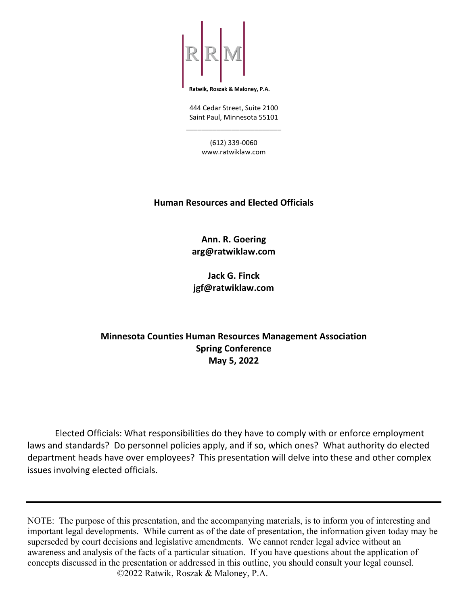

**Ratwik, Roszak & Maloney, P.A.**

444 Cedar Street, Suite 2100 Saint Paul, Minnesota 55101 \_\_\_\_\_\_\_\_\_\_\_\_\_\_\_\_\_\_\_\_\_\_\_\_\_

> (612) 339-0060 www.ratwiklaw.com

### **Human Resources and Elected Officials**

**Ann. R. Goering arg@ratwiklaw.com**

**Jack G. Finck jgf@ratwiklaw.com**

# **Minnesota Counties Human Resources Management Association Spring Conference May 5, 2022**

Elected Officials: What responsibilities do they have to comply with or enforce employment laws and standards? Do personnel policies apply, and if so, which ones? What authority do elected department heads have over employees? This presentation will delve into these and other complex issues involving elected officials.

NOTE: The purpose of this presentation, and the accompanying materials, is to inform you of interesting and important legal developments. While current as of the date of presentation, the information given today may be superseded by court decisions and legislative amendments. We cannot render legal advice without an awareness and analysis of the facts of a particular situation. If you have questions about the application of concepts discussed in the presentation or addressed in this outline, you should consult your legal counsel. ©2022 Ratwik, Roszak & Maloney, P.A.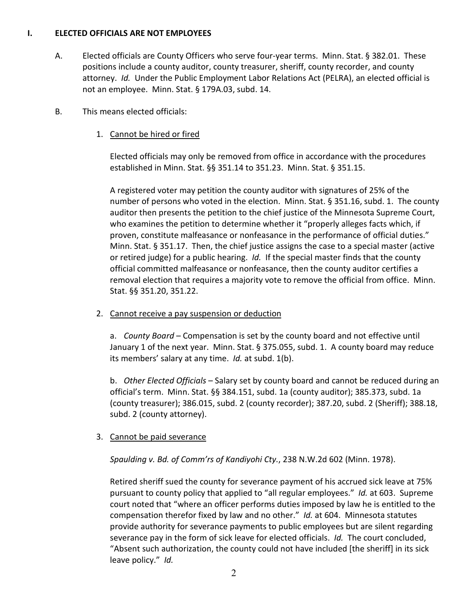#### **I. ELECTED OFFICIALS ARE NOT EMPLOYEES**

- A. Elected officials are County Officers who serve four-year terms. Minn. Stat. § 382.01. These positions include a county auditor, county treasurer, sheriff, county recorder, and county attorney. *Id.* Under the Public Employment Labor Relations Act (PELRA), an elected official is not an employee. Minn. Stat. § 179A.03, subd. 14.
- B. This means elected officials:
	- 1. Cannot be hired or fired

Elected officials may only be removed from office in accordance with the procedures established in Minn. Stat. §§ 351.14 to 351.23. Minn. Stat. § 351.15.

A registered voter may petition the county auditor with signatures of 25% of the number of persons who voted in the election. Minn. Stat. § 351.16, subd. 1. The county auditor then presents the petition to the chief justice of the Minnesota Supreme Court, who examines the petition to determine whether it "properly alleges facts which, if proven, constitute malfeasance or nonfeasance in the performance of official duties." Minn. Stat. § 351.17. Then, the chief justice assigns the case to a special master (active or retired judge) for a public hearing. *Id.* If the special master finds that the county official committed malfeasance or nonfeasance, then the county auditor certifies a removal election that requires a majority vote to remove the official from office. Minn. Stat. §§ 351.20, 351.22.

2. Cannot receive a pay suspension or deduction

a. *County Board* – Compensation is set by the county board and not effective until January 1 of the next year. Minn. Stat. § 375.055, subd. 1. A county board may reduce its members' salary at any time. *Id.* at subd. 1(b).

b. *Other Elected Officials* – Salary set by county board and cannot be reduced during an official's term. Minn. Stat. §§ 384.151, subd. 1a (county auditor); 385.373, subd. 1a (county treasurer); 386.015, subd. 2 (county recorder); 387.20, subd. 2 (Sheriff); 388.18, subd. 2 (county attorney).

### 3. Cannot be paid severance

## *Spaulding v. Bd. of Comm'rs of Kandiyohi Cty.*, 238 N.W.2d 602 (Minn. 1978).

Retired sheriff sued the county for severance payment of his accrued sick leave at 75% pursuant to county policy that applied to "all regular employees." *Id.* at 603. Supreme court noted that "where an officer performs duties imposed by law he is entitled to the compensation therefor fixed by law and no other." *Id.* at 604. Minnesota statutes provide authority for severance payments to public employees but are silent regarding severance pay in the form of sick leave for elected officials. *Id.* The court concluded, "Absent such authorization, the county could not have included [the sheriff] in its sick leave policy." *Id.*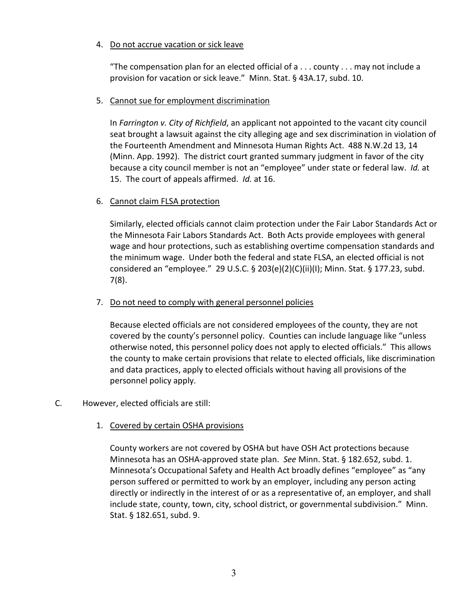#### 4. Do not accrue vacation or sick leave

"The compensation plan for an elected official of  $a \ldots$  county  $\ldots$  may not include a provision for vacation or sick leave." Minn. Stat. § 43A.17, subd. 10.

## 5. Cannot sue for employment discrimination

In *Farrington v. City of Richfield*, an applicant not appointed to the vacant city council seat brought a lawsuit against the city alleging age and sex discrimination in violation of the Fourteenth Amendment and Minnesota Human Rights Act. 488 N.W.2d 13, 14 (Minn. App. 1992). The district court granted summary judgment in favor of the city because a city council member is not an "employee" under state or federal law. *Id.* at 15. The court of appeals affirmed. *Id.* at 16.

### 6. Cannot claim FLSA protection

Similarly, elected officials cannot claim protection under the Fair Labor Standards Act or the Minnesota Fair Labors Standards Act. Both Acts provide employees with general wage and hour protections, such as establishing overtime compensation standards and the minimum wage. Under both the federal and state FLSA, an elected official is not considered an "employee." 29 U.S.C.  $\S$  203(e)(2)(C)(ii)(I); Minn. Stat.  $\S$  177.23, subd. 7(8).

### 7. Do not need to comply with general personnel policies

Because elected officials are not considered employees of the county, they are not covered by the county's personnel policy. Counties can include language like "unless otherwise noted, this personnel policy does not apply to elected officials." This allows the county to make certain provisions that relate to elected officials, like discrimination and data practices, apply to elected officials without having all provisions of the personnel policy apply.

### C. However, elected officials are still:

### 1. Covered by certain OSHA provisions

County workers are not covered by OSHA but have OSH Act protections because Minnesota has an OSHA-approved state plan. *See* Minn. Stat. § 182.652, subd. 1. Minnesota's Occupational Safety and Health Act broadly defines "employee" as "any person suffered or permitted to work by an employer, including any person acting directly or indirectly in the interest of or as a representative of, an employer, and shall include state, county, town, city, school district, or governmental subdivision." Minn. Stat. § 182.651, subd. 9.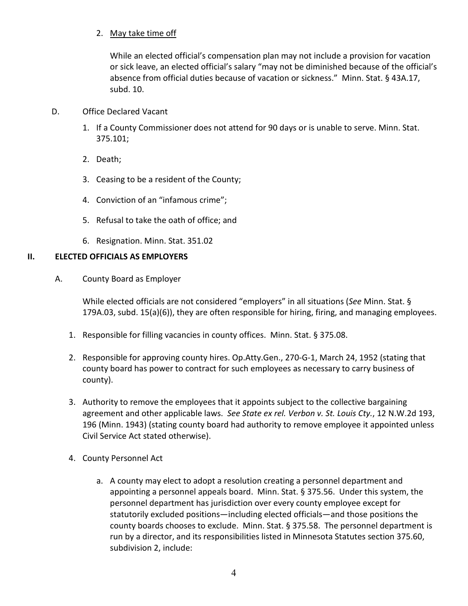## 2. May take time off

While an elected official's compensation plan may not include a provision for vacation or sick leave, an elected official's salary "may not be diminished because of the official's absence from official duties because of vacation or sickness." Minn. Stat. § 43A.17, subd. 10.

## D. Office Declared Vacant

- 1. If a County Commissioner does not attend for 90 days or is unable to serve. Minn. Stat. 375.101;
- 2. Death;
- 3. Ceasing to be a resident of the County;
- 4. Conviction of an "infamous crime";
- 5. Refusal to take the oath of office; and
- 6. Resignation. Minn. Stat. 351.02

## **II. ELECTED OFFICIALS AS EMPLOYERS**

A. County Board as Employer

While elected officials are not considered "employers" in all situations (*See* Minn. Stat. § 179A.03, subd. 15(a)(6)), they are often responsible for hiring, firing, and managing employees.

- 1. Responsible for filling vacancies in county offices. Minn. Stat. § 375.08.
- 2. Responsible for approving county hires. Op.Atty.Gen., 270-G-1, March 24, 1952 (stating that county board has power to contract for such employees as necessary to carry business of county).
- 3. Authority to remove the employees that it appoints subject to the collective bargaining agreement and other applicable laws. *See State ex rel. Verbon v. St. Louis Cty.*, 12 N.W.2d 193, 196 (Minn. 1943) (stating county board had authority to remove employee it appointed unless Civil Service Act stated otherwise).
- 4. County Personnel Act
	- a. A county may elect to adopt a resolution creating a personnel department and appointing a personnel appeals board. Minn. Stat. § 375.56. Under this system, the personnel department has jurisdiction over every county employee except for statutorily excluded positions—including elected officials—and those positions the county boards chooses to exclude. Minn. Stat. § 375.58. The personnel department is run by a director, and its responsibilities listed in Minnesota Statutes section 375.60, subdivision 2, include: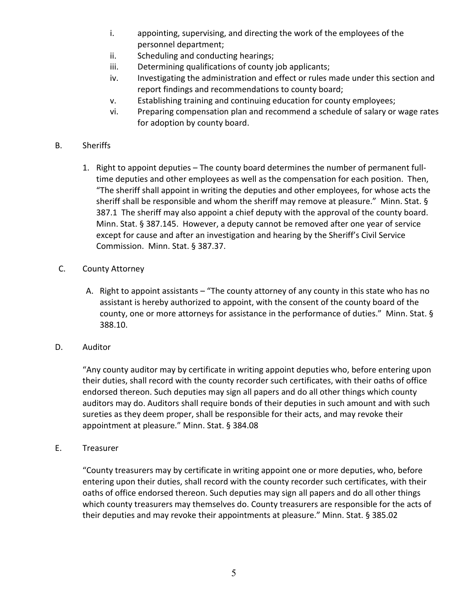- i. appointing, supervising, and directing the work of the employees of the personnel department;
- ii. Scheduling and conducting hearings;
- iii. Determining qualifications of county job applicants;
- iv. Investigating the administration and effect or rules made under this section and report findings and recommendations to county board;
- v. Establishing training and continuing education for county employees;
- vi. Preparing compensation plan and recommend a schedule of salary or wage rates for adoption by county board.

#### B. Sheriffs

1. Right to appoint deputies – The county board determines the number of permanent fulltime deputies and other employees as well as the compensation for each position. Then, "The sheriff shall appoint in writing the deputies and other employees, for whose acts the sheriff shall be responsible and whom the sheriff may remove at pleasure." Minn. Stat. § 387.1 The sheriff may also appoint a chief deputy with the approval of the county board. Minn. Stat. § 387.145. However, a deputy cannot be removed after one year of service except for cause and after an investigation and hearing by the Sheriff's Civil Service Commission. Minn. Stat. § 387.37.

#### C. County Attorney

- A. Right to appoint assistants "The county attorney of any county in this state who has no assistant is hereby authorized to appoint, with the consent of the county board of the county, one or more attorneys for assistance in the performance of duties." Minn. Stat. § 388.10.
- D. Auditor

 "Any county auditor may by certificate in writing appoint deputies who, before entering upon their duties, shall record with the county recorder such certificates, with their oaths of office endorsed thereon. Such deputies may sign all papers and do all other things which county auditors may do. Auditors shall require bonds of their deputies in such amount and with such sureties as they deem proper, shall be responsible for their acts, and may revoke their appointment at pleasure." Minn. Stat. § 384.08

E. Treasurer

 "County treasurers may by certificate in writing appoint one or more deputies, who, before entering upon their duties, shall record with the county recorder such certificates, with their oaths of office endorsed thereon. Such deputies may sign all papers and do all other things which county treasurers may themselves do. County treasurers are responsible for the acts of their deputies and may revoke their appointments at pleasure." Minn. Stat. § 385.02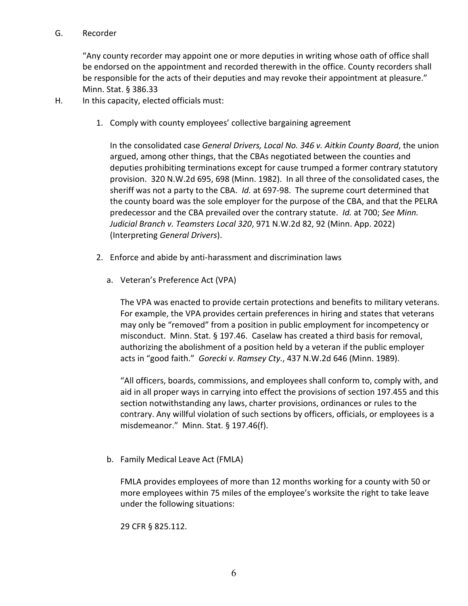#### G. Recorder

"Any county recorder may appoint one or more deputies in writing whose oath of office shall be endorsed on the appointment and recorded therewith in the office. County recorders shall be responsible for the acts of their deputies and may revoke their appointment at pleasure." Minn. Stat. § 386.33

H. In this capacity, elected officials must:

1. Comply with county employees' collective bargaining agreement

In the consolidated case *General Drivers, Local No. 346 v. Aitkin County Board*, the union argued, among other things, that the CBAs negotiated between the counties and deputies prohibiting terminations except for cause trumped a former contrary statutory provision. 320 N.W.2d 695, 698 (Minn. 1982). In all three of the consolidated cases, the sheriff was not a party to the CBA. *Id.* at 697-98. The supreme court determined that the county board was the sole employer for the purpose of the CBA, and that the PELRA predecessor and the CBA prevailed over the contrary statute. *Id.* at 700; *See Minn. Judicial Branch v. Teamsters Local 320*, 971 N.W.2d 82, 92 (Minn. App. 2022) (Interpreting *General Drivers*).

- 2. Enforce and abide by anti-harassment and discrimination laws
	- a. Veteran's Preference Act (VPA)

The VPA was enacted to provide certain protections and benefits to military veterans. For example, the VPA provides certain preferences in hiring and states that veterans may only be "removed" from a position in public employment for incompetency or misconduct. Minn. Stat. § 197.46. Caselaw has created a third basis for removal, authorizing the abolishment of a position held by a veteran if the public employer acts in "good faith." *Gorecki v. Ramsey Cty.*, 437 N.W.2d 646 (Minn. 1989).

"All officers, boards, commissions, and employees shall conform to, comply with, and aid in all proper ways in carrying into effect the provisions of section 197.455 and this section notwithstanding any laws, charter provisions, ordinances or rules to the contrary. Any willful violation of such sections by officers, officials, or employees is a misdemeanor." Minn. Stat. § 197.46(f).

b. Family Medical Leave Act (FMLA)

FMLA provides employees of more than 12 months working for a county with 50 or more employees within 75 miles of the employee's worksite the right to take leave under the following situations:

29 CFR § 825.112.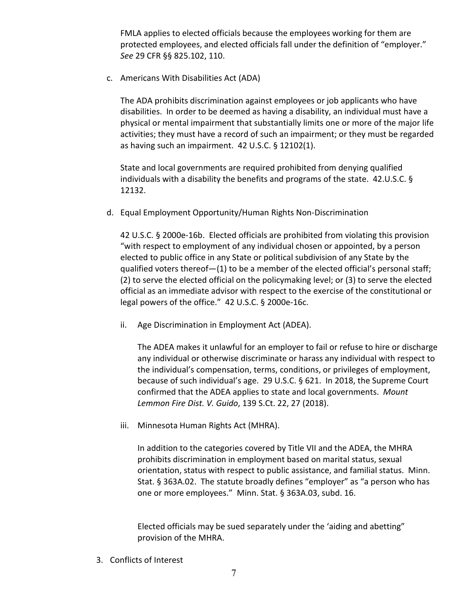FMLA applies to elected officials because the employees working for them are protected employees, and elected officials fall under the definition of "employer." *See* 29 CFR §§ 825.102, 110.

c. Americans With Disabilities Act (ADA)

The ADA prohibits discrimination against employees or job applicants who have disabilities. In order to be deemed as having a disability, an individual must have a physical or mental impairment that substantially limits one or more of the major life activities; they must have a record of such an impairment; or they must be regarded as having such an impairment. 42 U.S.C. § 12102(1).

State and local governments are required prohibited from denying qualified individuals with a disability the benefits and programs of the state. 42.U.S.C. § 12132.

d. Equal Employment Opportunity/Human Rights Non-Discrimination

42 U.S.C. § 2000e-16b. Elected officials are prohibited from violating this provision "with respect to employment of any individual chosen or appointed, by a person elected to public office in any State or political subdivision of any State by the qualified voters thereof—(1) to be a member of the elected official's personal staff; (2) to serve the elected official on the policymaking level; or (3) to serve the elected official as an immediate advisor with respect to the exercise of the constitutional or legal powers of the office." 42 U.S.C. § 2000e-16c.

ii. Age Discrimination in Employment Act (ADEA).

The ADEA makes it unlawful for an employer to fail or refuse to hire or discharge any individual or otherwise discriminate or harass any individual with respect to the individual's compensation, terms, conditions, or privileges of employment, because of such individual's age. 29 U.S.C. § 621. In 2018, the Supreme Court confirmed that the ADEA applies to state and local governments. *Mount Lemmon Fire Dist. V. Guido*, 139 S.Ct. 22, 27 (2018).

iii. Minnesota Human Rights Act (MHRA).

In addition to the categories covered by Title VII and the ADEA, the MHRA prohibits discrimination in employment based on marital status, sexual orientation, status with respect to public assistance, and familial status. Minn. Stat. § 363A.02. The statute broadly defines "employer" as "a person who has one or more employees." Minn. Stat. § 363A.03, subd. 16.

Elected officials may be sued separately under the 'aiding and abetting" provision of the MHRA.

3. Conflicts of Interest